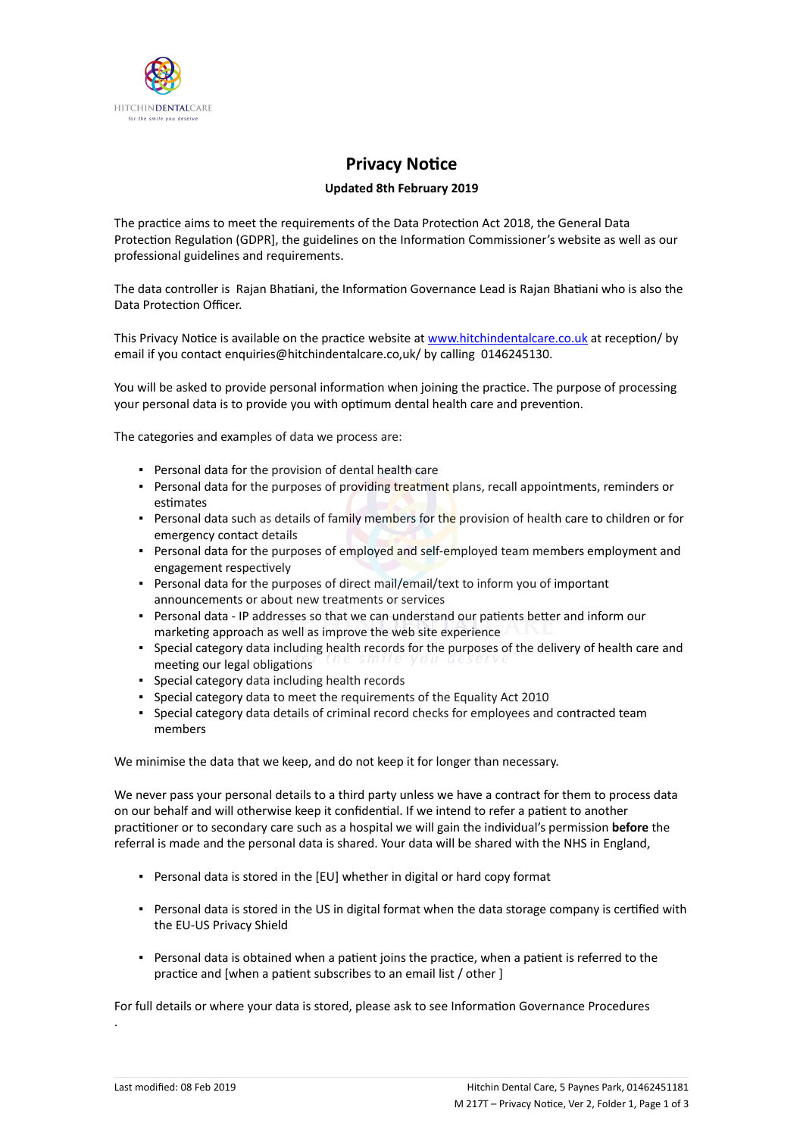

## **Privacy Notice**

## **Updated 8th February 2019**

The practice aims to meet the requirements of the Data Protection Act 2018, the General Data Protection Regulation (GDPR], the guidelines on the Information Commissioner's website as well as our professional guidelines and requirements.

The data controller is Rajan Bhatiani, the Information Governance Lead is Rajan Bhatiani who is also the Data Protection Officer.

This Privacy Notice is available on the practice website at [www.hitchindentalcare.co.uk](https://dental.icomply.org/api/export/render/4b6422c9-915a-48df-ae9a-4e74bfc768f1/www.practice.com/privacynotice) at reception/ by email if you contact enquiries@hitchindentalcare.co,uk/ by calling 0146245130.

You will be asked to provide personal information when joining the practice. The purpose of processing your personal data is to provide you with optimum dental health care and prevention.

The categories and examples of data we process are:

- Personal data for the provision of dental health care
- Personal data for the purposes of providing treatment plans, recall appointments, reminders or estimates
- **Personal data such as details of family members for the provision of health care to children or for** emergency contact details
- **Personal data for the purposes of employed and self-employed team members employment and** engagement respectively
- Personal data for the purposes of direct mail/email/text to inform you of important announcements or about new treatments or services
- Personal data IP addresses so that we can understand our patients better and inform our marketing approach as well as improve the web site experience
- Special category data including health records for the purposes of the delivery of health care and meeting our legal obligations
- Special category data including health records
- Special category data to meet the requirements of the Equality Act 2010
- Special category data details of criminal record checks for employees and contracted team members

We minimise the data that we keep, and do not keep it for longer than necessary.

We never pass your personal details to a third party unless we have a contract for them to process data on our behalf and will otherwise keep it confidential. If we intend to refer a patient to another practitioner or to secondary care such as a hospital we will gain the individual's permission **before** the referral is made and the personal data is shared. Your data will be shared with the NHS in England,

- Personal data is stored in the [EU] whether in digital or hard copy format
- Personal data is stored in the US in digital format when the data storage company is certified with the EU-US Privacy Shield
- Personal data is obtained when a patient joins the practice, when a patient is referred to the practice and [when a patient subscribes to an email list / other ]

For full details or where your data is stored, please ask to see Information Governance Procedures

.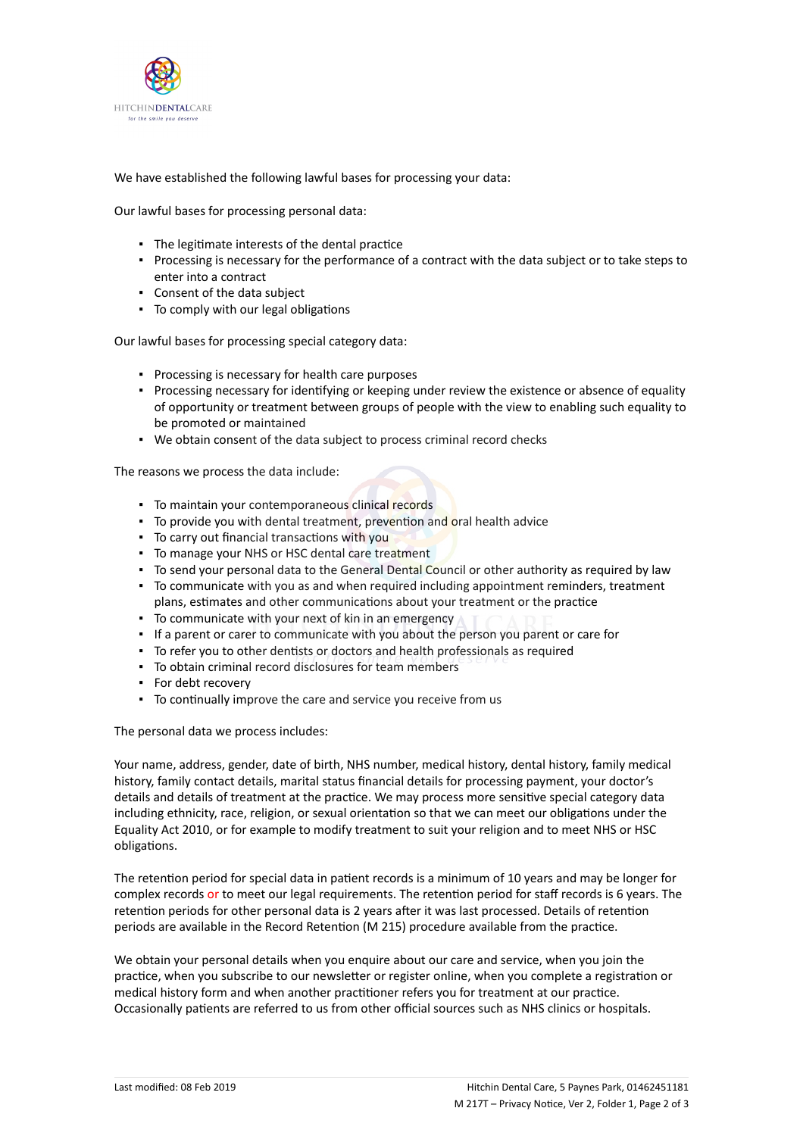

We have established the following lawful bases for processing your data:

Our lawful bases for processing personal data:

- The legitimate interests of the dental practice
- Processing is necessary for the performance of a contract with the data subject or to take steps to enter into a contract
- Consent of the data subject
- To comply with our legal obligations

Our lawful bases for processing special category data:

- Processing is necessary for health care purposes
- Processing necessary for identifying or keeping under review the existence or absence of equality of opportunity or treatment between groups of people with the view to enabling such equality to be promoted or maintained
- We obtain consent of the data subject to process criminal record checks

The reasons we process the data include:

- To maintain your contemporaneous clinical records
- To provide you with dental treatment, prevention and oral health advice
- To carry out financial transactions with you
- To manage your NHS or HSC dental care treatment
- To send your personal data to the General Dental Council or other authority as required by law
- To communicate with you as and when required including appointment reminders, treatment plans, estimates and other communications about your treatment or the practice
- To communicate with your next of kin in an emergency
- If a parent or carer to communicate with you about the person you parent or care for
- To refer you to other dentists or doctors and health professionals as required
- To obtain criminal record disclosures for team members
- For debt recovery
- To continually improve the care and service you receive from us

The personal data we process includes:

Your name, address, gender, date of birth, NHS number, medical history, dental history, family medical history, family contact details, marital status financial details for processing payment, your doctor's details and details of treatment at the practice. We may process more sensitive special category data including ethnicity, race, religion, or sexual orientation so that we can meet our obligations under the Equality Act 2010, or for example to modify treatment to suit your religion and to meet NHS or HSC obligations.

The retention period for special data in patient records is a minimum of 10 years and may be longer for complex records or to meet our legal requirements. The retention period for staff records is 6 years. The retention periods for other personal data is 2 years after it was last processed. Details of retention periods are available in the Record Retention (M 215) procedure available from the practice.

We obtain your personal details when you enquire about our care and service, when you join the practice, when you subscribe to our newsletter or register online, when you complete a registration or medical history form and when another practitioner refers you for treatment at our practice. Occasionally patients are referred to us from other official sources such as NHS clinics or hospitals.